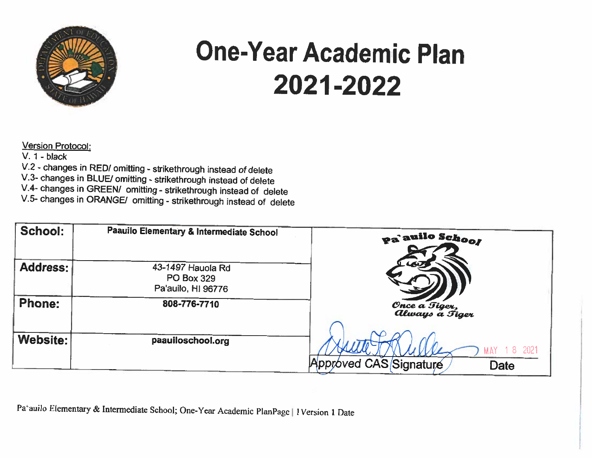

## **One-Year Academic Plan** 2021-2022

Version Protocol:

 $V. 1 - black$ 

V.2 - changes in RED/ omitting - strikethrough instead of delete

V.3- changes in BLUE/ omitting - strikethrough instead of delete

V.4- changes in GREEN/ omitting - strikethrough instead of delete

V.5- changes in ORANGE/ omitting - strikethrough instead of delete

| School:       | Paauilo Elementary & Intermediate School                     | pa'auilo School                 |
|---------------|--------------------------------------------------------------|---------------------------------|
| Address:      | 43-1497 Hauola Rd<br><b>PO Box 329</b><br>Pa'auilo, HI 96776 |                                 |
| <b>Phone:</b> | 808-776-7710                                                 | Once a Tiger,<br>Always a Tiger |
| Website:      | paauiloschool.org                                            | 2021                            |
|               |                                                              | Approved CAS Signature<br>Date  |

Pa'auilo Elementary & Intermediate School; One-Year Academic PlanPage | 1Version 1 Date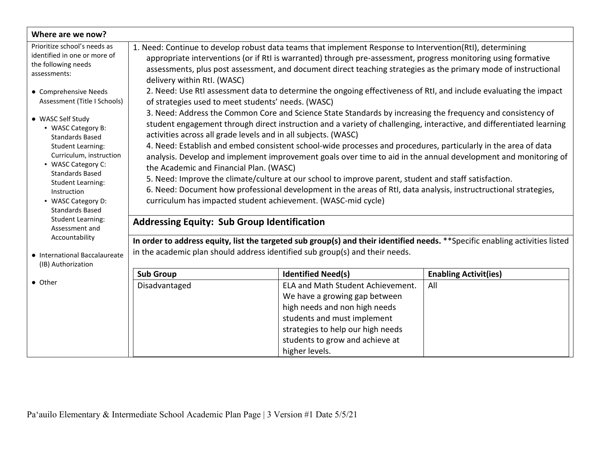| Where are we now?                                                                                                                                                                                                                                                                                                            |                                                                                                                                                                                                                                                                                                                                                                                                                                                                                                                                                                                                                                                                                                                                                                                                                                                                                                                                                                                                                                                               |                                                                                                                                                                                                                              |                              |  |  |  |
|------------------------------------------------------------------------------------------------------------------------------------------------------------------------------------------------------------------------------------------------------------------------------------------------------------------------------|---------------------------------------------------------------------------------------------------------------------------------------------------------------------------------------------------------------------------------------------------------------------------------------------------------------------------------------------------------------------------------------------------------------------------------------------------------------------------------------------------------------------------------------------------------------------------------------------------------------------------------------------------------------------------------------------------------------------------------------------------------------------------------------------------------------------------------------------------------------------------------------------------------------------------------------------------------------------------------------------------------------------------------------------------------------|------------------------------------------------------------------------------------------------------------------------------------------------------------------------------------------------------------------------------|------------------------------|--|--|--|
| Prioritize school's needs as<br>identified in one or more of<br>the following needs<br>assessments:                                                                                                                                                                                                                          | 1. Need: Continue to develop robust data teams that implement Response to Intervention(RtI), determining<br>appropriate interventions (or if RtI is warranted) through pre-assessment, progress monitoring using formative<br>assessments, plus post assessment, and document direct teaching strategies as the primary mode of instructional<br>delivery within RtI. (WASC)                                                                                                                                                                                                                                                                                                                                                                                                                                                                                                                                                                                                                                                                                  |                                                                                                                                                                                                                              |                              |  |  |  |
| • Comprehensive Needs<br>Assessment (Title I Schools)<br>• WASC Self Study<br>• WASC Category B:<br><b>Standards Based</b><br><b>Student Learning:</b><br>Curriculum, instruction<br>• WASC Category C:<br><b>Standards Based</b><br><b>Student Learning:</b><br>Instruction<br>• WASC Category D:<br><b>Standards Based</b> | 2. Need: Use RtI assessment data to determine the ongoing effectiveness of RtI, and include evaluating the impact<br>of strategies used to meet students' needs. (WASC)<br>3. Need: Address the Common Core and Science State Standards by increasing the frequency and consistency of<br>student engagement through direct instruction and a variety of challenging, interactive, and differentiated learning<br>activities across all grade levels and in all subjects. (WASC)<br>4. Need: Establish and embed consistent school-wide processes and procedures, particularly in the area of data<br>analysis. Develop and implement improvement goals over time to aid in the annual development and monitoring of<br>the Academic and Financial Plan. (WASC)<br>5. Need: Improve the climate/culture at our school to improve parent, student and staff satisfaction.<br>6. Need: Document how professional development in the areas of RtI, data analysis, instructructional strategies,<br>curriculum has impacted student achievement. (WASC-mid cycle) |                                                                                                                                                                                                                              |                              |  |  |  |
| <b>Student Learning:</b><br>Assessment and                                                                                                                                                                                                                                                                                   | <b>Addressing Equity: Sub Group Identification</b>                                                                                                                                                                                                                                                                                                                                                                                                                                                                                                                                                                                                                                                                                                                                                                                                                                                                                                                                                                                                            |                                                                                                                                                                                                                              |                              |  |  |  |
| Accountability<br>• International Baccalaureate<br>(IB) Authorization                                                                                                                                                                                                                                                        | In order to address equity, list the targeted sub group(s) and their identified needs. **Specific enabling activities listed<br>in the academic plan should address identified sub group(s) and their needs.                                                                                                                                                                                                                                                                                                                                                                                                                                                                                                                                                                                                                                                                                                                                                                                                                                                  |                                                                                                                                                                                                                              |                              |  |  |  |
|                                                                                                                                                                                                                                                                                                                              | <b>Sub Group</b>                                                                                                                                                                                                                                                                                                                                                                                                                                                                                                                                                                                                                                                                                                                                                                                                                                                                                                                                                                                                                                              | <b>Identified Need(s)</b>                                                                                                                                                                                                    | <b>Enabling Activit(ies)</b> |  |  |  |
| • Other                                                                                                                                                                                                                                                                                                                      | Disadvantaged                                                                                                                                                                                                                                                                                                                                                                                                                                                                                                                                                                                                                                                                                                                                                                                                                                                                                                                                                                                                                                                 | ELA and Math Student Achievement.<br>We have a growing gap between<br>high needs and non high needs<br>students and must implement<br>strategies to help our high needs<br>students to grow and achieve at<br>higher levels. | All                          |  |  |  |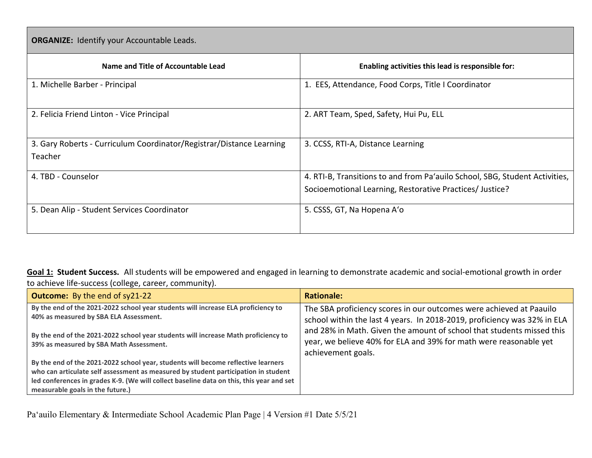| <b>ORGANIZE:</b> Identify your Accountable Leads.                               |                                                                             |  |  |  |  |  |  |
|---------------------------------------------------------------------------------|-----------------------------------------------------------------------------|--|--|--|--|--|--|
| Name and Title of Accountable Lead                                              | Enabling activities this lead is responsible for:                           |  |  |  |  |  |  |
| 1. Michelle Barber - Principal                                                  | 1. EES, Attendance, Food Corps, Title I Coordinator                         |  |  |  |  |  |  |
| 2. Felicia Friend Linton - Vice Principal                                       | 2. ART Team, Sped, Safety, Hui Pu, ELL                                      |  |  |  |  |  |  |
| 3. Gary Roberts - Curriculum Coordinator/Registrar/Distance Learning<br>Teacher | 3. CCSS, RTI-A, Distance Learning                                           |  |  |  |  |  |  |
| 4. TBD - Counselor                                                              | 4. RTI-B, Transitions to and from Pa'auilo School, SBG, Student Activities, |  |  |  |  |  |  |
|                                                                                 | Socioemotional Learning, Restorative Practices/ Justice?                    |  |  |  |  |  |  |
| 5. Dean Alip - Student Services Coordinator                                     | 5. CSSS, GT, Na Hopena A'o                                                  |  |  |  |  |  |  |

**Goal 1: Student Success.** All students will be empowered and engaged in learning to demonstrate academic and social-emotional growth in order to achieve life-success (college, career, community).

| <b>Outcome:</b> By the end of sy21-22                                                                                                                                                                                                                                                                   | <b>Rationale:</b>                                                                                                                                                |
|---------------------------------------------------------------------------------------------------------------------------------------------------------------------------------------------------------------------------------------------------------------------------------------------------------|------------------------------------------------------------------------------------------------------------------------------------------------------------------|
| By the end of the 2021-2022 school year students will increase ELA proficiency to<br>40% as measured by SBA ELA Assessment.                                                                                                                                                                             | The SBA proficiency scores in our outcomes were achieved at Paauilo<br>school within the last 4 years. In 2018-2019, proficiency was 32% in ELA                  |
| By the end of the 2021-2022 school year students will increase Math proficiency to<br>39% as measured by SBA Math Assessment.                                                                                                                                                                           | and 28% in Math. Given the amount of school that students missed this<br>year, we believe 40% for ELA and 39% for math were reasonable yet<br>achievement goals. |
| By the end of the 2021-2022 school year, students will become reflective learners<br>who can articulate self assessment as measured by student participation in student<br>led conferences in grades K-9. (We will collect baseline data on this, this year and set<br>measurable goals in the future.) |                                                                                                                                                                  |

Pa'auilo Elementary & Intermediate School Academic Plan Page | 4 Version #1 Date 5/5/21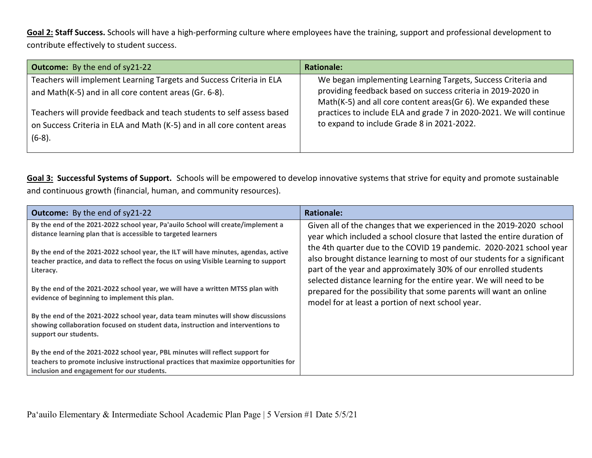**Goal 2: Staff Success.** Schools will have a high-performing culture where employees have the training, support and professional development to contribute effectively to student success.

| <b>Outcome:</b> By the end of sy21-22                                   | <b>Rationale:</b>                                                                                                             |
|-------------------------------------------------------------------------|-------------------------------------------------------------------------------------------------------------------------------|
| Teachers will implement Learning Targets and Success Criteria in ELA    | We began implementing Learning Targets, Success Criteria and                                                                  |
| and Math(K-5) and in all core content areas (Gr. 6-8).                  | providing feedback based on success criteria in 2019-2020 in<br>Math(K-5) and all core content areas(Gr 6). We expanded these |
| Teachers will provide feedback and teach students to self assess based  | practices to include ELA and grade 7 in 2020-2021. We will continue                                                           |
| on Success Criteria in ELA and Math (K-5) and in all core content areas | to expand to include Grade 8 in 2021-2022.                                                                                    |
| $(6-8)$ .                                                               |                                                                                                                               |

**Goal 3: Successful Systems of Support.** Schools will be empowered to develop innovative systems that strive for equity and promote sustainable and continuous growth (financial, human, and community resources).

| <b>Outcome:</b> By the end of sy21-22                                                                                                                                                                                | <b>Rationale:</b>                                                                                                                                                                                                                                                                        |
|----------------------------------------------------------------------------------------------------------------------------------------------------------------------------------------------------------------------|------------------------------------------------------------------------------------------------------------------------------------------------------------------------------------------------------------------------------------------------------------------------------------------|
| By the end of the 2021-2022 school year, Pa'auilo School will create/implement a<br>distance learning plan that is accessible to targeted learners                                                                   | Given all of the changes that we experienced in the 2019-2020 school<br>year which included a school closure that lasted the entire duration of                                                                                                                                          |
| By the end of the 2021-2022 school year, the ILT will have minutes, agendas, active<br>teacher practice, and data to reflect the focus on using Visible Learning to support<br>Literacy.                             | the 4th quarter due to the COVID 19 pandemic. 2020-2021 school year<br>also brought distance learning to most of our students for a significant<br>part of the year and approximately 30% of our enrolled students<br>selected distance learning for the entire year. We will need to be |
| By the end of the 2021-2022 school year, we will have a written MTSS plan with<br>evidence of beginning to implement this plan.                                                                                      | prepared for the possibility that some parents will want an online<br>model for at least a portion of next school year.                                                                                                                                                                  |
| By the end of the 2021-2022 school year, data team minutes will show discussions<br>showing collaboration focused on student data, instruction and interventions to<br>support our students.                         |                                                                                                                                                                                                                                                                                          |
| By the end of the 2021-2022 school year, PBL minutes will reflect support for<br>teachers to promote inclusive instructional practices that maximize opportunities for<br>inclusion and engagement for our students. |                                                                                                                                                                                                                                                                                          |

Pa'auilo Elementary & Intermediate School Academic Plan Page | 5 Version #1 Date 5/5/21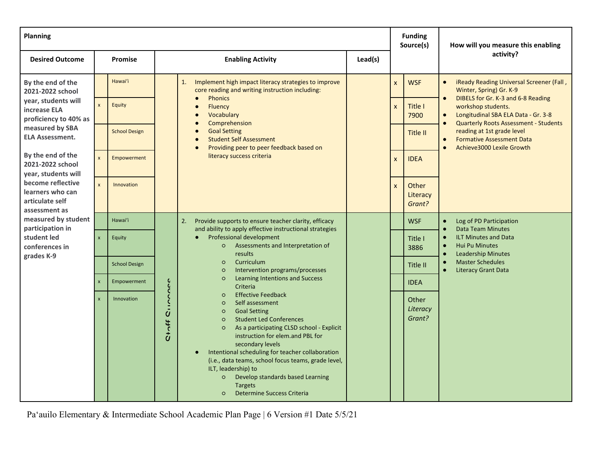| <b>Planning</b>                                                                                                                                                                        |                    |                      |                      |                                                                                                                                                                                                                                                                                                                                                                                                                                                                                                                      |                 |              | <b>Funding</b><br>Source(s)                                                                                              | How will you measure this enabling                                                                                                                                                 |  |
|----------------------------------------------------------------------------------------------------------------------------------------------------------------------------------------|--------------------|----------------------|----------------------|----------------------------------------------------------------------------------------------------------------------------------------------------------------------------------------------------------------------------------------------------------------------------------------------------------------------------------------------------------------------------------------------------------------------------------------------------------------------------------------------------------------------|-----------------|--------------|--------------------------------------------------------------------------------------------------------------------------|------------------------------------------------------------------------------------------------------------------------------------------------------------------------------------|--|
| <b>Desired Outcome</b>                                                                                                                                                                 |                    | <b>Promise</b>       |                      | <b>Enabling Activity</b>                                                                                                                                                                                                                                                                                                                                                                                                                                                                                             | Lead(s)         |              |                                                                                                                          | activity?                                                                                                                                                                          |  |
| By the end of the<br>2021-2022 school                                                                                                                                                  |                    | Hawai'i              |                      | Implement high impact literacy strategies to improve<br>1.<br>core reading and writing instruction including:                                                                                                                                                                                                                                                                                                                                                                                                        |                 | $\mathsf{x}$ | <b>WSF</b>                                                                                                               | iReady Reading Universal Screener (Fall,<br>Winter, Spring) Gr. K-9                                                                                                                |  |
| year, students will<br>increase ELA<br>proficiency to 40% as                                                                                                                           | $\mathsf{x}$       | Equity               |                      | <b>Phonics</b><br>$\bullet$<br>Fluency<br>Vocabulary                                                                                                                                                                                                                                                                                                                                                                                                                                                                 |                 | $\mathsf{x}$ | Title I<br>7900                                                                                                          | DIBELS for Gr. K-3 and 6-8 Reading<br>$\bullet$<br>workshop students.<br>Longitudinal SBA ELA Data - Gr. 3-8<br>$\bullet$                                                          |  |
| measured by SBA<br><b>ELA Assessment.</b><br>By the end of the<br>2021-2022 school<br>year, students will<br>become reflective<br>learners who can<br>articulate self<br>assessment as |                    | <b>School Design</b> |                      | Comprehension<br>$\bullet$<br><b>Goal Setting</b><br><b>Student Self Assessment</b><br>Providing peer to peer feedback based on<br>$\bullet$<br>literacy success criteria                                                                                                                                                                                                                                                                                                                                            |                 |              | Title II                                                                                                                 | <b>Quarterly Roots Assessment - Students</b><br>$\bullet$<br>reading at 1st grade level<br><b>Formative Assessment Data</b><br>$\bullet$<br>Achieve3000 Lexile Growth<br>$\bullet$ |  |
|                                                                                                                                                                                        | $\mathbf{x}$       | Empowerment          |                      |                                                                                                                                                                                                                                                                                                                                                                                                                                                                                                                      |                 |              | <b>IDEA</b><br>X                                                                                                         |                                                                                                                                                                                    |  |
|                                                                                                                                                                                        | $\mathbf{x}$       | Innovation           |                      |                                                                                                                                                                                                                                                                                                                                                                                                                                                                                                                      |                 | $\mathsf{x}$ | Other<br>Literacy<br>Grant?                                                                                              |                                                                                                                                                                                    |  |
| measured by student<br>participation in                                                                                                                                                |                    | Hawai'i              |                      | Provide supports to ensure teacher clarity, efficacy<br>2.<br>and ability to apply effective instructional strategies                                                                                                                                                                                                                                                                                                                                                                                                |                 |              | <b>WSF</b>                                                                                                               | Log of PD Participation<br>$\bullet$<br><b>Data Team Minutes</b><br>$\bullet$                                                                                                      |  |
| student led<br>conferences in<br>grades K-9                                                                                                                                            | $\pmb{\times}$     | Equity               |                      | Professional development<br>Assessments and Interpretation of<br>$\circ$<br>results                                                                                                                                                                                                                                                                                                                                                                                                                                  | Title I<br>3886 |              | <b>ILT Minutes and Data</b><br>$\bullet$<br><b>Hui Pu Minutes</b><br>$\bullet$<br><b>Leadership Minutes</b><br>$\bullet$ |                                                                                                                                                                                    |  |
|                                                                                                                                                                                        |                    | <b>School Design</b> |                      | Curriculum<br>$\circ$<br>Intervention programs/processes<br>$\circ$                                                                                                                                                                                                                                                                                                                                                                                                                                                  |                 |              | Title II                                                                                                                 | <b>Master Schedules</b><br>$\bullet$<br><b>Literacy Grant Data</b>                                                                                                                 |  |
|                                                                                                                                                                                        | $\pmb{\mathsf{x}}$ | Empowerment          |                      | <b>Learning Intentions and Success</b><br>$\circ$<br>Criteria                                                                                                                                                                                                                                                                                                                                                                                                                                                        |                 |              | <b>IDEA</b>                                                                                                              |                                                                                                                                                                                    |  |
|                                                                                                                                                                                        | $\mathbf{x}$       | Innovation           | $\mathbf{C}$<br>キーセロ | <b>Effective Feedback</b><br>$\circ$<br>Self assessment<br>$\circ$<br><b>Goal Setting</b><br>$\circ$<br><b>Student Led Conferences</b><br>$\circ$<br>As a participating CLSD school - Explicit<br>$\circ$<br>instruction for elem.and PBL for<br>secondary levels<br>Intentional scheduling for teacher collaboration<br>(i.e., data teams, school focus teams, grade level,<br>ILT, leadership) to<br>Develop standards based Learning<br>$\circ$<br><b>Targets</b><br><b>Determine Success Criteria</b><br>$\circ$ |                 |              | Other<br>Literacy<br>Grant?                                                                                              |                                                                                                                                                                                    |  |

Pa'auilo Elementary & Intermediate School Academic Plan Page | 6 Version #1 Date 5/5/21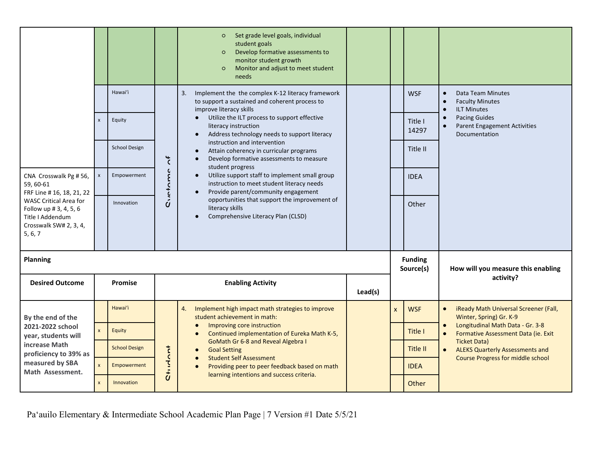|                                                                                                                                                                                      |                    |                      |                    | Set grade level goals, individual<br>$\circ$<br>student goals<br>Develop formative assessments to<br>$\circ$<br>monitor student growth<br>Monitor and adjust to meet student<br>$\circ$<br>needs |  |                             |                  |                                                                                                             |  |
|--------------------------------------------------------------------------------------------------------------------------------------------------------------------------------------|--------------------|----------------------|--------------------|--------------------------------------------------------------------------------------------------------------------------------------------------------------------------------------------------|--|-----------------------------|------------------|-------------------------------------------------------------------------------------------------------------|--|
|                                                                                                                                                                                      |                    | Hawai'i              |                    | Implement the the complex K-12 literacy framework<br>3.<br>to support a sustained and coherent process to<br>improve literacy skills                                                             |  |                             | <b>WSF</b>       | Data Team Minutes<br>$\bullet$<br><b>Faculty Minutes</b><br>$\bullet$<br><b>ILT Minutes</b><br>$\bullet$    |  |
|                                                                                                                                                                                      | $\pmb{\mathsf{x}}$ | Equity               |                    | Utilize the ILT process to support effective<br>$\bullet$<br>literacy instruction<br>Address technology needs to support literacy                                                                |  |                             | Title I<br>14297 | <b>Pacing Guides</b><br>$\bullet$<br><b>Parent Engagement Activities</b><br>$\bullet$<br>Documentation      |  |
| CNA Crosswalk Pg # 56,<br>59, 60-61<br>FRF Line # 16, 18, 21, 22<br><b>WASC Critical Area for</b><br>Follow up # 3, 4, 5, 6<br>Title I Addendum<br>Crosswalk SW# 2, 3, 4,<br>5, 6, 7 |                    | <b>School Design</b> | $\overline{\zeta}$ | instruction and intervention<br>Attain coherency in curricular programs<br>$\bullet$<br>Develop formative assessments to measure<br>student progress                                             |  |                             | Title II         |                                                                                                             |  |
|                                                                                                                                                                                      | $\mathsf{x}$       | Empowerment          | Cintame            | Utilize support staff to implement small group<br>$\bullet$<br>instruction to meet student literacy needs<br>Provide parent/community engagement<br>$\bullet$                                    |  |                             | <b>IDEA</b>      |                                                                                                             |  |
|                                                                                                                                                                                      |                    | Innovation           |                    | opportunities that support the improvement of<br>literacy skills<br>Comprehensive Literacy Plan (CLSD)                                                                                           |  |                             | Other            |                                                                                                             |  |
| <b>Planning</b>                                                                                                                                                                      |                    |                      |                    |                                                                                                                                                                                                  |  | <b>Funding</b><br>Source(s) |                  | How will you measure this enabling                                                                          |  |
| <b>Desired Outcome</b>                                                                                                                                                               |                    | Promise              |                    | <b>Enabling Activity</b>                                                                                                                                                                         |  |                             |                  | activity?                                                                                                   |  |
| By the end of the<br>2021-2022 school<br>year, students will                                                                                                                         |                    | Hawai'i              |                    | Implement high impact math strategies to improve<br>4.<br>student achievement in math:                                                                                                           |  | X                           | <b>WSF</b>       | iReady Math Universal Screener (Fall,<br>$\bullet$<br>Winter, Spring) Gr. K-9                               |  |
|                                                                                                                                                                                      | $\mathsf{x}$       | Equity               |                    | Improving core instruction<br>Continued implementation of Eureka Math K-5,                                                                                                                       |  |                             | Title I          | Longitudinal Math Data - Gr. 3-8<br>$\bullet$<br>Formative Assessment Data (ie. Exit<br><b>Ticket Data)</b> |  |
| increase Math<br>proficiency to 39% as                                                                                                                                               |                    | <b>School Design</b> |                    | <b>GoMath Gr 6-8 and Reveal Algebra I</b><br><b>Goal Setting</b><br><b>Student Self Assessment</b><br>$\bullet$                                                                                  |  |                             | Title II         | <b>ALEKS Quarterly Assessments and</b><br><b>Course Progress for middle school</b>                          |  |
| measured by SBA<br>Math Assessment.                                                                                                                                                  |                    | Empowerment          | <b>Ct117</b>       | Providing peer to peer feedback based on math<br>$\bullet$<br>learning intentions and success criteria.                                                                                          |  |                             | <b>IDEA</b>      |                                                                                                             |  |
|                                                                                                                                                                                      | $\mathsf{x}$       | <b>Innovation</b>    |                    |                                                                                                                                                                                                  |  |                             | Other            |                                                                                                             |  |

Pa'auilo Elementary & Intermediate School Academic Plan Page | 7 Version #1 Date 5/5/21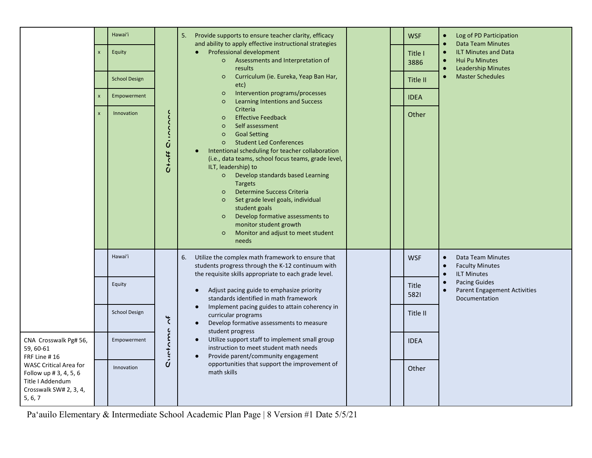|                                                                                                                                                                        | $\boldsymbol{\mathsf{x}}$<br>$\boldsymbol{\mathsf{x}}$<br>$\mathbf{x}$ | Hawai'i<br>Equity<br><b>School Design</b><br>Empowerment<br>Innovation | Cince<br>$\frac{4}{10}$ | <b>WSF</b><br>Provide supports to ensure teacher clarity, efficacy<br>Log of PD Participation<br>5.<br>and ability to apply effective instructional strategies<br><b>Data Team Minutes</b><br>Professional development<br><b>ILT Minutes and Data</b><br>$\bullet$<br>Title I<br>Assessments and Interpretation of<br><b>Hui Pu Minutes</b><br>$\circ$<br>$\bullet$<br>3886<br><b>Leadership Minutes</b><br>results<br>$\bullet$<br>Curriculum (ie. Eureka, Yeap Ban Har,<br><b>Master Schedules</b><br>$\circ$<br>$\bullet$<br>Title II<br>etc)<br>Intervention programs/processes<br>$\circ$<br><b>IDEA</b><br><b>Learning Intentions and Success</b><br>$\circ$<br>Criteria<br>Other<br><b>Effective Feedback</b><br>$\circ$<br>Self assessment<br>$\circ$<br><b>Goal Setting</b><br>$\circ$<br><b>Student Led Conferences</b><br>$\circ$<br>Intentional scheduling for teacher collaboration<br>(i.e., data teams, school focus teams, grade level,<br>ILT, leadership) to<br>Develop standards based Learning<br>$\circ$<br><b>Targets</b><br><b>Determine Success Criteria</b><br>$\circ$<br>Set grade level goals, individual<br>$\circ$<br>student goals<br>Develop formative assessments to<br>$\circ$<br>monitor student growth<br>Monitor and adjust to meet student<br>$\circ$<br>needs |
|------------------------------------------------------------------------------------------------------------------------------------------------------------------------|------------------------------------------------------------------------|------------------------------------------------------------------------|-------------------------|-----------------------------------------------------------------------------------------------------------------------------------------------------------------------------------------------------------------------------------------------------------------------------------------------------------------------------------------------------------------------------------------------------------------------------------------------------------------------------------------------------------------------------------------------------------------------------------------------------------------------------------------------------------------------------------------------------------------------------------------------------------------------------------------------------------------------------------------------------------------------------------------------------------------------------------------------------------------------------------------------------------------------------------------------------------------------------------------------------------------------------------------------------------------------------------------------------------------------------------------------------------------------------------------------------|
|                                                                                                                                                                        |                                                                        | Hawai'i                                                                |                         | Utilize the complex math framework to ensure that<br>6.<br><b>WSF</b><br>Data Team Minutes<br>$\bullet$<br>students progress through the K-12 continuum with<br><b>Faculty Minutes</b><br>$\bullet$<br>the requisite skills appropriate to each grade level.<br><b>ILT Minutes</b><br>$\bullet$                                                                                                                                                                                                                                                                                                                                                                                                                                                                                                                                                                                                                                                                                                                                                                                                                                                                                                                                                                                                     |
|                                                                                                                                                                        |                                                                        | Equity                                                                 |                         | <b>Pacing Guides</b><br>$\bullet$<br><b>Title</b><br>Adjust pacing guide to emphasize priority<br><b>Parent Engagement Activities</b><br>$\bullet$<br>$\bullet$<br>5821<br>standards identified in math framework<br>Documentation                                                                                                                                                                                                                                                                                                                                                                                                                                                                                                                                                                                                                                                                                                                                                                                                                                                                                                                                                                                                                                                                  |
|                                                                                                                                                                        |                                                                        | <b>School Design</b>                                                   | $\overline{\zeta}$      | Implement pacing guides to attain coherency in<br>$\bullet$<br>Title II<br>curricular programs<br>Develop formative assessments to measure<br>$\bullet$<br>student progress                                                                                                                                                                                                                                                                                                                                                                                                                                                                                                                                                                                                                                                                                                                                                                                                                                                                                                                                                                                                                                                                                                                         |
| CNA Crosswalk Pg# 56,<br>59, 60-61<br>FRF Line #16<br><b>WASC Critical Area for</b><br>Follow up # 3, 4, 5, 6<br>Title I Addendum<br>Crosswalk SW# 2, 3, 4,<br>5, 6, 7 |                                                                        | Empowerment                                                            | Circtome                | Utilize support staff to implement small group<br>$\bullet$<br><b>IDEA</b><br>instruction to meet student math needs<br>Provide parent/community engagement<br>$\bullet$                                                                                                                                                                                                                                                                                                                                                                                                                                                                                                                                                                                                                                                                                                                                                                                                                                                                                                                                                                                                                                                                                                                            |
|                                                                                                                                                                        |                                                                        | Innovation                                                             |                         | opportunities that support the improvement of<br>Other<br>math skills                                                                                                                                                                                                                                                                                                                                                                                                                                                                                                                                                                                                                                                                                                                                                                                                                                                                                                                                                                                                                                                                                                                                                                                                                               |

Pa'auilo Elementary & Intermediate School Academic Plan Page | 8 Version #1 Date 5/5/21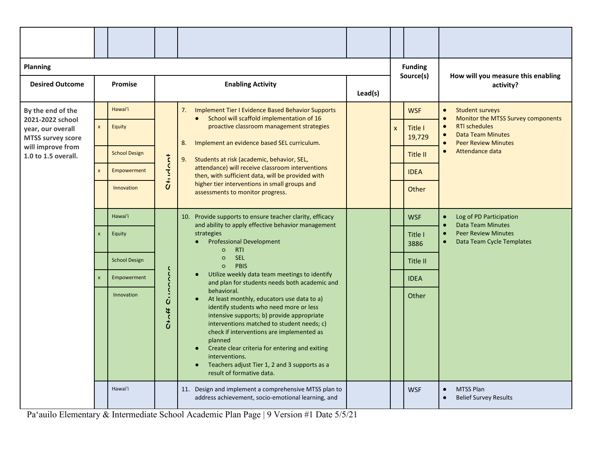| <b>Planning</b>                                                   |                         |                      |                  |                                                                                                                                                                                                                                                                                                                                                                                                                                      |         |              | <b>Funding</b><br>Source(s) | How will you measure this enabling                                                                                                                    |
|-------------------------------------------------------------------|-------------------------|----------------------|------------------|--------------------------------------------------------------------------------------------------------------------------------------------------------------------------------------------------------------------------------------------------------------------------------------------------------------------------------------------------------------------------------------------------------------------------------------|---------|--------------|-----------------------------|-------------------------------------------------------------------------------------------------------------------------------------------------------|
| <b>Desired Outcome</b>                                            |                         | Promise              |                  | <b>Enabling Activity</b>                                                                                                                                                                                                                                                                                                                                                                                                             | Lead(s) |              |                             | activity?                                                                                                                                             |
| By the end of the                                                 |                         | Hawai'i              |                  | 7. Implement Tier I Evidence Based Behavior Supports<br>School will scaffold implementation of 16<br>$\bullet$                                                                                                                                                                                                                                                                                                                       |         |              | <b>WSF</b>                  | <b>Student surveys</b><br>$\bullet$<br>Monitor the MTSS Survey components                                                                             |
| 2021-2022 school<br>year, our overall<br><b>MTSS survey score</b> | $\mathsf{x}$            | Equity               |                  | proactive classroom management strategies<br>8.<br>Implement an evidence based SEL curriculum.                                                                                                                                                                                                                                                                                                                                       |         | $\mathsf{x}$ | Title I<br>19,729           | <b>RTI schedules</b><br>$\bullet$<br><b>Data Team Minutes</b><br>$\bullet$<br><b>Peer Review Minutes</b>                                              |
| will improve from<br>1.0 to 1.5 overall.                          |                         | <b>School Design</b> |                  | 9.<br>Students at risk (academic, behavior, SEL,                                                                                                                                                                                                                                                                                                                                                                                     |         |              | Title II                    | Attendance data<br>$\bullet$                                                                                                                          |
|                                                                   | $\pmb{\times}$          | <b>Empowerment</b>   | tanhi            | attendance) will receive classroom interventions<br>then, with sufficient data, will be provided with<br>higher tier interventions in small groups and<br>assessments to monitor progress.                                                                                                                                                                                                                                           |         |              | <b>IDEA</b>                 |                                                                                                                                                       |
|                                                                   |                         | Innovation           | $\ddot{\vec{c}}$ |                                                                                                                                                                                                                                                                                                                                                                                                                                      |         |              | Other                       |                                                                                                                                                       |
|                                                                   |                         | Hawai'i              |                  | 10. Provide supports to ensure teacher clarity, efficacy<br>and ability to apply effective behavior management                                                                                                                                                                                                                                                                                                                       |         |              | <b>WSF</b>                  | Log of PD Participation<br>$\bullet$<br><b>Data Team Minutes</b><br><b>Peer Review Minutes</b><br>$\bullet$<br>Data Team Cycle Templates<br>$\bullet$ |
|                                                                   | $\overline{\mathsf{x}}$ | Equity               |                  | strategies<br><b>Professional Development</b><br>$\circ$<br><b>RTI</b>                                                                                                                                                                                                                                                                                                                                                               |         |              | Title I<br>3886             |                                                                                                                                                       |
|                                                                   |                         | <b>School Design</b> |                  | <b>SEL</b><br>$\circ$<br><b>PBIS</b><br>$\circ$                                                                                                                                                                                                                                                                                                                                                                                      |         |              | Title II                    |                                                                                                                                                       |
|                                                                   |                         | Empowerment          | Circo            | Utilize weekly data team meetings to identify<br>$\bullet$<br>and plan for students needs both academic and                                                                                                                                                                                                                                                                                                                          |         |              | <b>IDEA</b>                 |                                                                                                                                                       |
|                                                                   |                         | Innovation           | $7+12$           | behavioral.<br>At least monthly, educators use data to a)<br>$\bullet$<br>identify students who need more or less<br>intensive supports; b) provide appropriate<br>interventions matched to student needs; c)<br>check if interventions are implemented as<br>planned<br>Create clear criteria for entering and exiting<br>interventions.<br>Teachers adjust Tier 1, 2 and 3 supports as a<br>$\bullet$<br>result of formative data. |         |              | Other                       |                                                                                                                                                       |
|                                                                   |                         | Hawai'i              |                  | 11. Design and implement a comprehensive MTSS plan to<br>address achievement, socio-emotional learning, and                                                                                                                                                                                                                                                                                                                          |         |              | <b>WSF</b>                  | <b>MTSS Plan</b><br>$\bullet$<br><b>Belief Survey Results</b><br>$\bullet$                                                                            |

Pa'auilo Elementary & Intermediate School Academic Plan Page | 9 Version #1 Date 5/5/21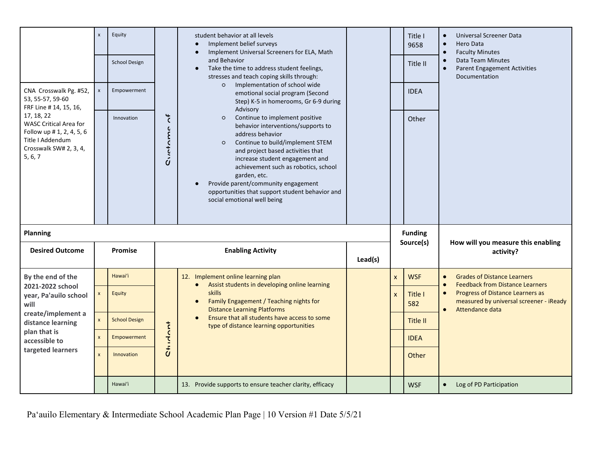| CNA Crosswalk Pg. #52,<br>53, 55-57, 59-60<br>FRF Line # 14, 15, 16,<br>17, 18, 22<br>WASC Critical Area for<br>Follow up # 1, 2, 4, 5, 6<br>Title I Addendum<br>Crosswalk SW# 2, 3, 4,<br>5, 6, 7 | $\mathbf{x}$<br>$\mathsf{x}$ | Equity<br>School Design<br>Empowerment<br>Innovation | $\overline{\cdot}$<br>Cuntame | student behavior at all levels<br>Implement belief surveys<br>Implement Universal Screeners for ELA, Math<br>and Behavior<br>Take the time to address student feelings,<br>$\bullet$<br>stresses and teach coping skills through:<br>Implementation of school wide<br>$\circ$<br>emotional social program (Second<br>Step) K-5 in homerooms, Gr 6-9 during<br>Advisory<br>Continue to implement positive<br>$\circ$<br>behavior interventions/supports to<br>address behavior<br>Continue to build/implement STEM<br>$\circ$<br>and project based activities that<br>increase student engagement and<br>achievement such as robotics, school<br>garden, etc.<br>Provide parent/community engagement<br>opportunities that support student behavior and<br>social emotional well being |  |              | Title I<br>9658<br>Title II<br><b>IDEA</b><br>Other | Universal Screener Data<br>Hero Data<br><b>Faculty Minutes</b><br>Data Team Minutes<br><b>Parent Engagement Activities</b><br>Documentation |
|----------------------------------------------------------------------------------------------------------------------------------------------------------------------------------------------------|------------------------------|------------------------------------------------------|-------------------------------|---------------------------------------------------------------------------------------------------------------------------------------------------------------------------------------------------------------------------------------------------------------------------------------------------------------------------------------------------------------------------------------------------------------------------------------------------------------------------------------------------------------------------------------------------------------------------------------------------------------------------------------------------------------------------------------------------------------------------------------------------------------------------------------|--|--------------|-----------------------------------------------------|---------------------------------------------------------------------------------------------------------------------------------------------|
| <b>Planning</b>                                                                                                                                                                                    |                              |                                                      |                               |                                                                                                                                                                                                                                                                                                                                                                                                                                                                                                                                                                                                                                                                                                                                                                                       |  |              | <b>Funding</b><br>Source(s)                         | How will you measure this enabling                                                                                                          |
| <b>Desired Outcome</b>                                                                                                                                                                             |                              | Promise                                              |                               | <b>Enabling Activity</b>                                                                                                                                                                                                                                                                                                                                                                                                                                                                                                                                                                                                                                                                                                                                                              |  |              |                                                     | activity?                                                                                                                                   |
| By the end of the                                                                                                                                                                                  |                              | Hawai'i                                              |                               | 12. Implement online learning plan<br>Assist students in developing online learning<br>$\bullet$                                                                                                                                                                                                                                                                                                                                                                                                                                                                                                                                                                                                                                                                                      |  | <b>X</b>     | <b>WSF</b>                                          | <b>Grades of Distance Learners</b><br><b>Feedback from Distance Learners</b>                                                                |
| 2021-2022 school<br>year, Pa'auilo school<br>will<br>create/implement a<br>distance learning                                                                                                       | $\mathsf{x}$                 | Equity                                               |                               | <b>skills</b><br>Family Engagement / Teaching nights for<br><b>Distance Learning Platforms</b>                                                                                                                                                                                                                                                                                                                                                                                                                                                                                                                                                                                                                                                                                        |  | $\mathsf{x}$ | Title I<br>582                                      | Progress of Distance Learners as<br>$\bullet$<br>measured by universal screener - iReady<br>Attendance data                                 |
|                                                                                                                                                                                                    |                              |                                                      |                               | Ensure that all students have access to some<br>$\bullet$                                                                                                                                                                                                                                                                                                                                                                                                                                                                                                                                                                                                                                                                                                                             |  |              |                                                     |                                                                                                                                             |
|                                                                                                                                                                                                    | $\mathsf{x}$                 | <b>School Design</b>                                 |                               | type of distance learning opportunities                                                                                                                                                                                                                                                                                                                                                                                                                                                                                                                                                                                                                                                                                                                                               |  |              | Title II                                            |                                                                                                                                             |
| plan that is<br>accessible to                                                                                                                                                                      | $\mathsf{x}$                 | Empowerment                                          | tanh                          |                                                                                                                                                                                                                                                                                                                                                                                                                                                                                                                                                                                                                                                                                                                                                                                       |  |              | <b>IDEA</b>                                         |                                                                                                                                             |
| targeted learners                                                                                                                                                                                  | $\mathbf{x}$                 | Innovation                                           | $\overline{\overline{d}}$     |                                                                                                                                                                                                                                                                                                                                                                                                                                                                                                                                                                                                                                                                                                                                                                                       |  |              | Other                                               |                                                                                                                                             |

Pa'auilo Elementary & Intermediate School Academic Plan Page | 10 Version #1 Date 5/5/21